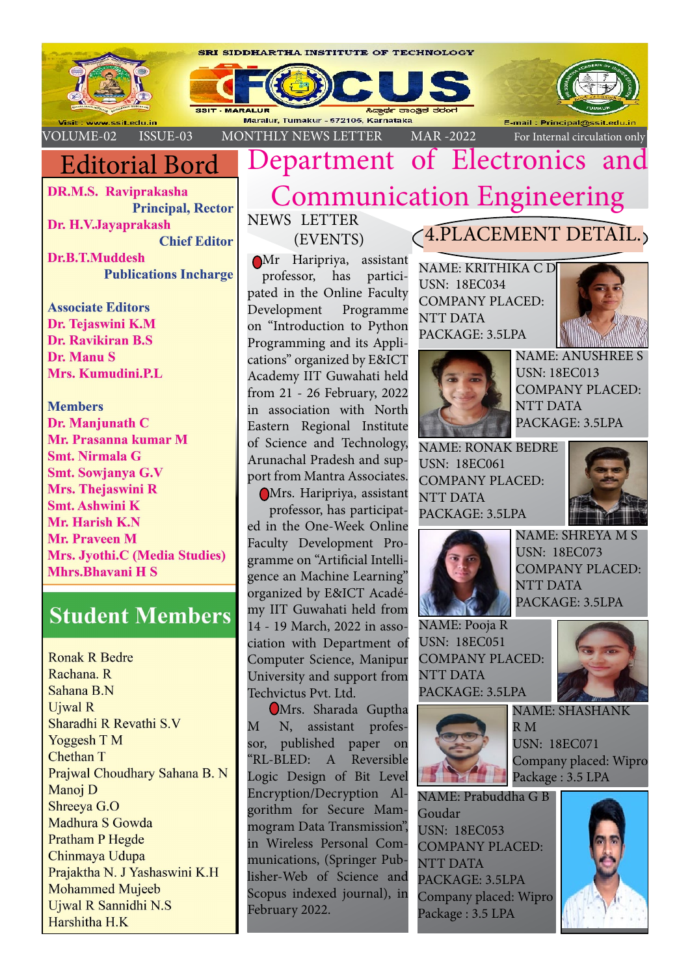

# Editorial Bord

**DR.M.S. Raviprakasha Principal, Rector** Dr. H.V.Jayaprakash **Chief Editor Dr.B.T.Muddesh Publications Incharge** 

**Associate Editors** Dr. Tejaswini K.M Dr. Ravikiran B.S. Dr. Manu S Mrs. Kumudini.P.L.

**Members** Dr. Manjunath C Mr. Prasanna kumar M **Smt. Nirmala G** Smt. Sowjanya G.V Mrs. Thejaswini R **Smt. Ashwini K** Mr. Harish K.N **Mr. Praveen M** Mrs. Jyothi.C (Media Studies) **Mhrs.Bhavani H S** 

# **Student Members**

**Ronak R Bedre** Rachana, R Sahana B.N **Ujwal R** Sharadhi R Revathi S.V Yoggesh T M Chethan T Prajwal Choudhary Sahana B. N Manoj D Shreeva G.O Madhura S Gowda **Pratham P Hegde** Chinmaya Udupa Prajaktha N. J Yashaswini K.H **Mohammed Mujeeb** Ujwal R Sannidhi N.S Harshitha H.K

# Department of Electronics Communication Engineering

NEWS LETTER (EVENTS)

 Mr Haripriya, assistant professor, has participated in the Online Faculty Development Programme on "Introduction to Python Programming and its Applications" organized by E&ICT Academy IIT Guwahati held from 21 - 26 February, 2022 in association with North Eastern Regional Institute of Science and Technology, Arunachal Pradesh and support from Mantra Associates.

Mrs. Haripriya, assistant professor, has participated in the One-Week Online Faculty Development Programme on "Artificial Intelligence an Machine Learning" organized by E&ICT Académy IIT Guwahati held from 14 - 19 March, 2022 in association with Department of Computer Science, Manipur University and support from Techvictus Pvt. Ltd.

Mrs. Sharada Guptha M N, assistant professor, published paper on "RL-BLED: A Reversible Logic Design of Bit Level Encryption/Decryption Algorithm for Secure Mammogram Data Transmission", in Wireless Personal Communications, (Springer Publisher-Web of Science and Scopus indexed journal), in February 2022.

## 4.PLACEMENT DETAIL.

NAME: KRITHIKA C D USN: 18EC034 COMPANY PLACED: NTT DATA PACKAGE: 3.5LPA





NAME: ANUSHREE S USN: 18EC013 COMPANY PLACED: NTT DATA PACKAGE: 3.5LPA

NAME: RONAK BEDRE USN: 18EC061 COMPANY PLACED: NTT DATA PACKAGE: 3.5LPA





NAME: SHREYA M S USN: 18EC073 COMPANY PLACED: NTT DATA PACKAGE: 3.5LPA

NAME: Pooja R USN: 18EC051 COMPANY PLACED: NTT DATA PACKAGE: 3.5LPA



R M USN: 18EC071 Company placed: Wipro Package : 3.5 LPA

NAME: SHASHANK

NAME: Prabuddha G B Goudar USN: 18EC053 COMPANY PLACED: NTT DATA PACKAGE: 3.5LPA Company placed: Wipro Package : 3.5 LPA